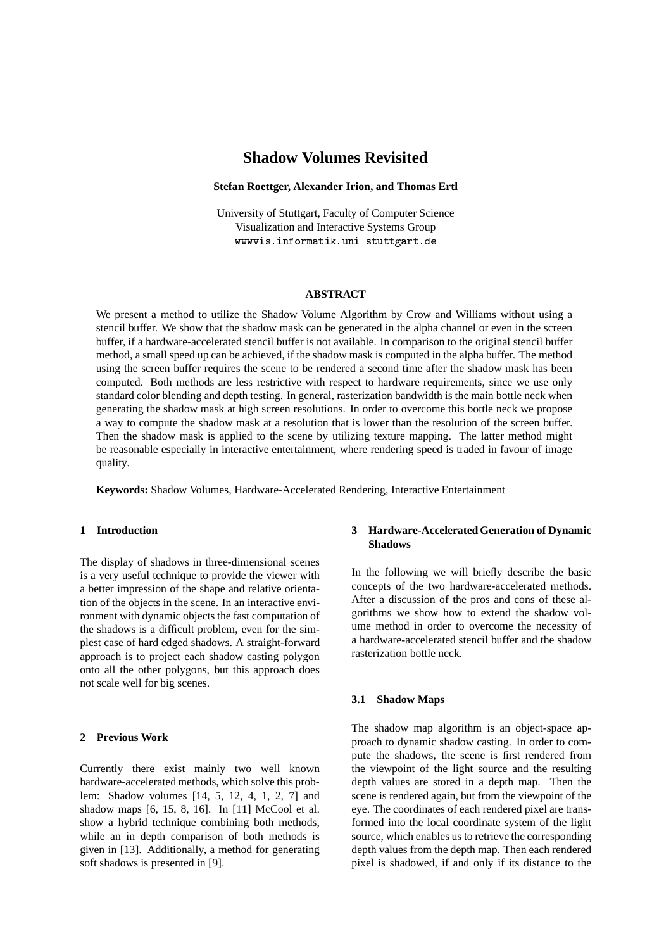# **Shadow Volumes Revisited**

#### **Stefan Roettger, Alexander Irion, and Thomas Ertl**

University of Stuttgart, Faculty of Computer Science Visualization and Interactive Systems Group -- 
- !

#### **ABSTRACT**

We present a method to utilize the Shadow Volume Algorithm by Crow and Williams without using a stencil buffer. We show that the shadow mask can be generated in the alpha channel or even in the screen buffer, if a hardware-accelerated stencil buffer is not available. In comparison to the original stencil buffer method, a small speed up can be achieved, if the shadow mask is computed in the alpha buffer. The method using the screen buffer requires the scene to be rendered a second time after the shadow mask has been computed. Both methods are less restrictive with respect to hardware requirements, since we use only standard color blending and depth testing. In general, rasterization bandwidth is the main bottle neck when generating the shadow mask at high screen resolutions. In order to overcome this bottle neck we propose a way to compute the shadow mask at a resolution that is lower than the resolution of the screen buffer. Then the shadow mask is applied to the scene by utilizing texture mapping. The latter method might be reasonable especially in interactive entertainment, where rendering speed is traded in favour of image quality.

**Keywords:** Shadow Volumes, Hardware-Accelerated Rendering, Interactive Entertainment

# **1 Introduction**

The display of shadows in three-dimensional scenes is a very useful technique to provide the viewer with a better impression of the shape and relative orientation of the objects in the scene. In an interactive environment with dynamic objects the fast computation of the shadows is a difficult problem, even for the simplest case of hard edged shadows. A straight-forward approach is to project each shadow casting polygon onto all the other polygons, but this approach does not scale well for big scenes.

# **2 Previous Work**

Currently there exist mainly two well known hardware-accelerated methods, which solve this problem: Shadow volumes [14, 5, 12, 4, 1, 2, 7] and shadow maps [6, 15, 8, 16]. In [11] McCool et al. show a hybrid technique combining both methods, while an in depth comparison of both methods is given in [13]. Additionally, a method for generating soft shadows is presented in [9].

# **3 Hardware-Accelerated Generation of Dynamic Shadows**

In the following we will briefly describe the basic concepts of the two hardware-accelerated methods. After a discussion of the pros and cons of these algorithms we show how to extend the shadow volume method in order to overcome the necessity of a hardware-accelerated stencil buffer and the shadow rasterization bottle neck.

# **3.1 Shadow Maps**

The shadow map algorithm is an object-space approach to dynamic shadow casting. In order to compute the shadows, the scene is first rendered from the viewpoint of the light source and the resulting depth values are stored in a depth map. Then the scene is rendered again, but from the viewpoint of the eye. The coordinates of each rendered pixel are transformed into the local coordinate system of the light source, which enables us to retrieve the corresponding depth values from the depth map. Then each rendered pixel is shadowed, if and only if its distance to the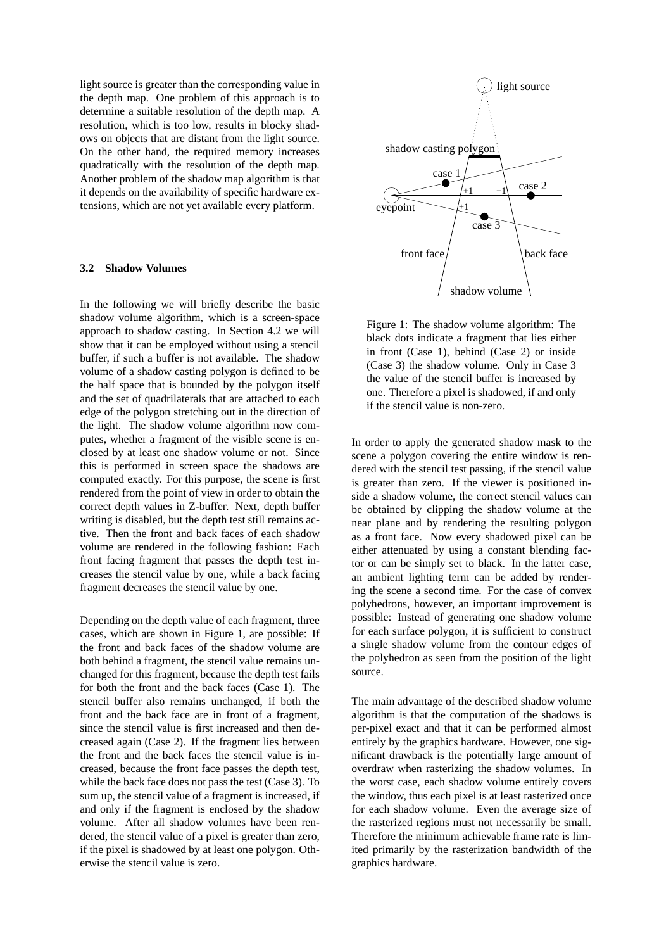light source is greater than the corresponding value in the depth map. One problem of this approach is to determine a suitable resolution of the depth map. A resolution, which is too low, results in blocky shadows on objects that are distant from the light source. On the other hand, the required memory increases quadratically with the resolution of the depth map. Another problem of the shadow map algorithm is that it depends on the availability of specific hardware extensions, which are not yet available every platform.

### **3.2 Shadow Volumes**

In the following we will briefly describe the basic shadow volume algorithm, which is a screen-space approach to shadow casting. In Section 4.2 we will show that it can be employed without using a stencil buffer, if such a buffer is not available. The shadow volume of a shadow casting polygon is defined to be the half space that is bounded by the polygon itself and the set of quadrilaterals that are attached to each edge of the polygon stretching out in the direction of the light. The shadow volume algorithm now computes, whether a fragment of the visible scene is enclosed by at least one shadow volume or not. Since this is performed in screen space the shadows are computed exactly. For this purpose, the scene is first rendered from the point of view in order to obtain the correct depth values in Z-buffer. Next, depth buffer writing is disabled, but the depth test still remains active. Then the front and back faces of each shadow volume are rendered in the following fashion: Each front facing fragment that passes the depth test increases the stencil value by one, while a back facing fragment decreases the stencil value by one.

Depending on the depth value of each fragment, three cases, which are shown in Figure 1, are possible: If the front and back faces of the shadow volume are both behind a fragment, the stencil value remains unchanged for this fragment, because the depth test fails for both the front and the back faces (Case 1). The stencil buffer also remains unchanged, if both the front and the back face are in front of a fragment, since the stencil value is first increased and then decreased again (Case 2). If the fragment lies between the front and the back faces the stencil value is increased, because the front face passes the depth test, while the back face does not pass the test (Case 3). To sum up, the stencil value of a fragment is increased, if and only if the fragment is enclosed by the shadow volume. After all shadow volumes have been rendered, the stencil value of a pixel is greater than zero, if the pixel is shadowed by at least one polygon. Otherwise the stencil value is zero.



Figure 1: The shadow volume algorithm: The black dots indicate a fragment that lies either in front (Case 1), behind (Case 2) or inside (Case 3) the shadow volume. Only in Case 3 the value of the stencil buffer is increased by one. Therefore a pixel is shadowed, if and only if the stencil value is non-zero.

In order to apply the generated shadow mask to the scene a polygon covering the entire window is rendered with the stencil test passing, if the stencil value is greater than zero. If the viewer is positioned inside a shadow volume, the correct stencil values can be obtained by clipping the shadow volume at the near plane and by rendering the resulting polygon as a front face. Now every shadowed pixel can be either attenuated by using a constant blending factor or can be simply set to black. In the latter case, an ambient lighting term can be added by rendering the scene a second time. For the case of convex polyhedrons, however, an important improvement is possible: Instead of generating one shadow volume for each surface polygon, it is sufficient to construct a single shadow volume from the contour edges of the polyhedron as seen from the position of the light source.

The main advantage of the described shadow volume algorithm is that the computation of the shadows is per-pixel exact and that it can be performed almost entirely by the graphics hardware. However, one significant drawback is the potentially large amount of overdraw when rasterizing the shadow volumes. In the worst case, each shadow volume entirely covers the window, thus each pixel is at least rasterized once for each shadow volume. Even the average size of the rasterized regions must not necessarily be small. Therefore the minimum achievable frame rate is limited primarily by the rasterization bandwidth of the graphics hardware.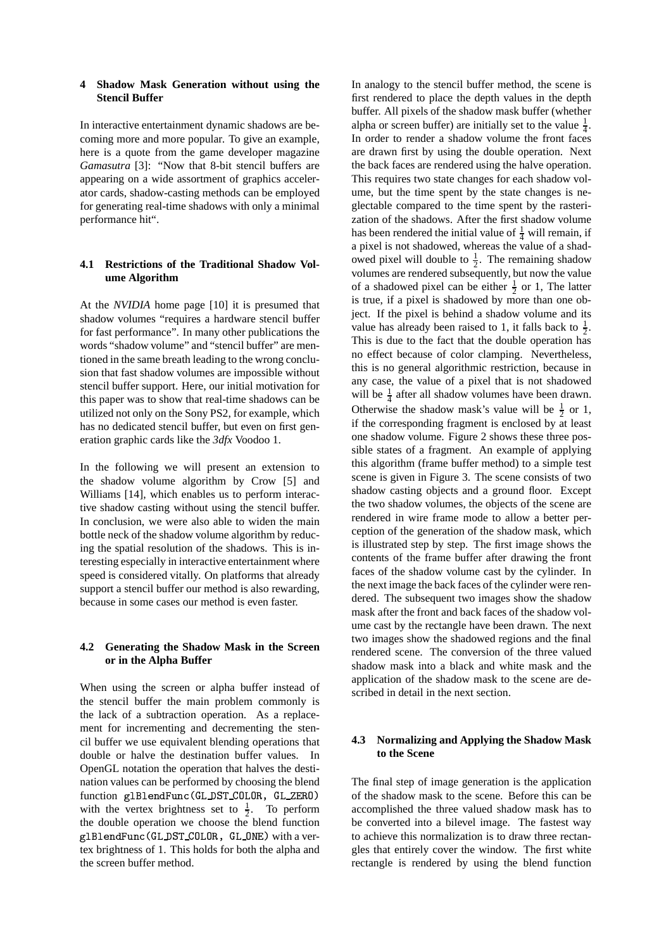## **4**# **Shadow Mask Generation without using the Stencil Buffer**

In interactive entertainment dynamic shadows are becoming more and more popular. To give an example, here is a quote from the game developer magazine *Gamasutra* [3]: "Now that 8-bit stencil buffers are appearing on a wide assortment of graphics accelerator cards, shadow-casting methods can be employed for generating real-time shadows with only a minimal performance hit".

# **4.1 Restrictions of the Traditional Shadow Volume Algorithm**

At the *NVIDIA* home page [10] it is presumed that shadow volumes "requires a hardware stencil buffer for fast performance". In many other publications the words "shadow volume" and "stencil buffer" are mentioned in the same breath leading to the wrong conclusion that fast shadow volumes are impossible without stencil buffer support. Here, our initial motivation for this paper was to show that real-time shadows can be utilized not only on the Sony PS2, for example, which has no dedicated stencil buffer, but even on first generation graphic cards like the *3dfx* Voodoo 1.

In the following we will present an extension to the shadow volume algorithm by Crow [5] and Williams [14], which enables us to perform interactive shadow casting without using the stencil buffer. In conclusion, we were also able to widen the main bottle neck of the shadow volume algorithm by reducing the spatial resolution of the shadows. This is interesting especially in interactive entertainment where speed is considered vitally. On platforms that already support a stencil buffer our method is also rewarding, because in some cases our method is even faster.

# **4.2 Generating the Shadow Mask in the Screen or in the Alpha Buffer**

When using the screen or alpha buffer instead of the stencil buffer the main problem commonly is the lack of a subtraction operation. As a replacement for incrementing and decrementing the stencil buffer we use equivalent blending operations that double or halve the destination buffer values. In OpenGL notation the operation that halves the destination values can be performed by choosing the blend function glBlendFunc(GL\_DST\_COLOR, GL\_ZERO) with the vertex brightness set to  $\frac{1}{2}$ . To perform the double operation we choose the blend function g1B1endFunc(GL\_DST\_COLOR, GL\_ONE) with a vertex brightness of 1. This holds for both the alpha and the screen buffer method.

In analogy to the stencil buffer method, the scene is first rendered to place the depth values in the depth buffer. All pixels of the shadow mask buffer (whether alpha or screen buffer) are initially set to the value  $\frac{1}{4}$ . In order to render a shadow volume the front faces are drawn first by using the double operation. Next the back faces are rendered using the halve operation. This requires two state changes for each shadow volume, but the time spent by the state changes is neglectable compared to the time spent by the rasterization of the shadows. After the first shadow volume has been rendered the initial value of  $\frac{1}{4}$  will remain, if a pixel is not shadowed, whereas the value of a shadowed pixel will double to  $\frac{1}{2}$ . The remaining shadow volumes are rendered subsequently, but now the value of a shadowed pixel can be either  $\frac{1}{2}$  or 1, The latter is true, if a pixel is shadowed by more than one object. If the pixel is behind a shadow volume and its value has already been raised to 1, it falls back to  $\frac{1}{2}$ . This is due to the fact that the double operation has no effect because of color clamping. Nevertheless, this is no general algorithmic restriction, because in any case, the value of a pixel that is not shadowed will be  $\frac{1}{4}$  after all shadow volumes have been drawn. Otherwise the shadow mask's value will be  $\frac{1}{2}$  or 1, if the corresponding fragment is enclosed by at least one shadow volume. Figure 2 shows these three possible states of a fragment. An example of applying this algorithm (frame buffer method) to a simple test scene is given in Figure 3. The scene consists of two shadow casting objects and a ground floor. Except the two shadow volumes, the objects of the scene are rendered in wire frame mode to allow a better perception of the generation of the shadow mask, which is illustrated step by step. The first image shows the contents of the frame buffer after drawing the front faces of the shadow volume cast by the cylinder. In the next image the back faces of the cylinder were rendered. The subsequent two images show the shadow mask after the front and back faces of the shadow volume cast by the rectangle have been drawn. The next two images show the shadowed regions and the final rendered scene. The conversion of the three valued shadow mask into a black and white mask and the application of the shadow mask to the scene are described in detail in the next section.

# **4.3 Normalizing and Applying the Shadow Mask to the Scene**

The final step of image generation is the application of the shadow mask to the scene. Before this can be accomplished the three valued shadow mask has to be converted into a bilevel image. The fastest way to achieve this normalization is to draw three rectangles that entirely cover the window. The first white rectangle is rendered by using the blend function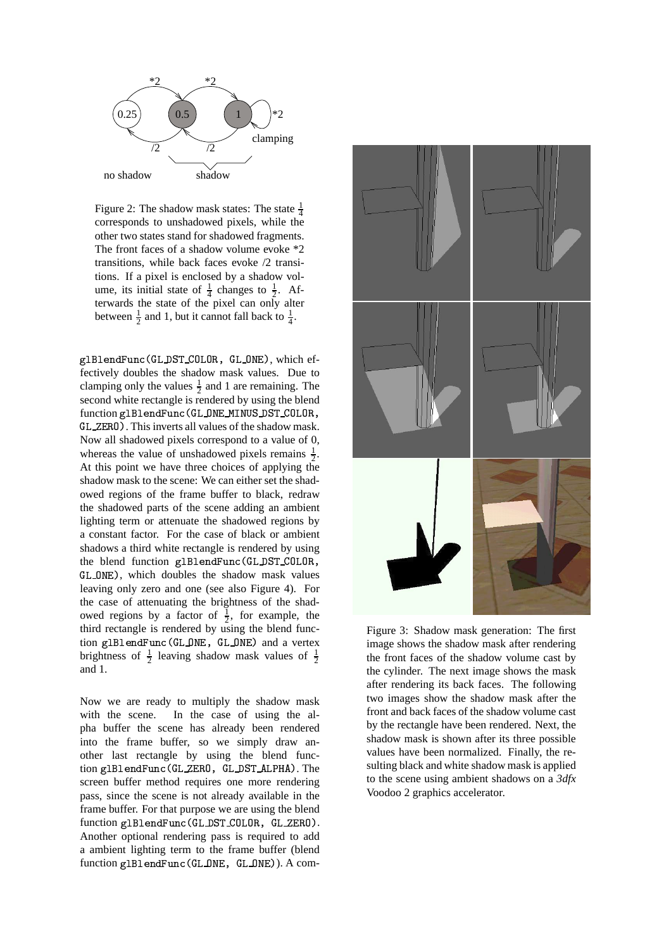

Figure 2: The shadow mask states: The state  $\frac{1}{4}$ corresponds to unshadowed pixels, while the other two states stand for shadowed fragments. The front faces of a shadow volume evoke \*2 transitions, while back faces evoke /2 transitions. If a pixel is enclosed by a shadow volume, its initial state of  $\frac{1}{4}$  changes to  $\frac{1}{2}$ . Afterwards the state of the pixel can only alter between  $\frac{1}{2}$  and 1, but it cannot fall back to  $\frac{1}{4}$ .

glBlendFunc(GL\_DST\_COLOR, GL\_ONE), which effectively doubles the shadow mask values. Due to clamping only the values  $\frac{1}{2}$  and 1 are remaining. The second white rectangle is rendered by using the blend function g1B1endFunc(GL\_ONE\_MINUS\_DST\_COLOR, GL\_ZERO). This inverts all values of the shadow mask. Now all shadowed pixels correspond to a value of 0, whereas the value of unshadowed pixels remains  $\frac{1}{2}$ . At this point we have three choices of applying the shadow mask to the scene: We can either set the shadowed regions of the frame buffer to black, redraw the shadowed parts of the scene adding an ambient lighting term or attenuate the shadowed regions by a constant factor. For the case of black or ambient shadows a third white rectangle is rendered by using the blend function glBlendFunc(GL\_DST\_COLOR, GL\_0NE), which doubles the shadow mask values leaving only zero and one (see also Figure 4). For the case of attenuating the brightness of the shadowed regions by a factor of  $\frac{1}{2}$ , for example, the third rectangle is rendered by using the blend function glBlendFunc(GL\_ONE, GL\_ONE) and a vertex brightness of  $\frac{1}{2}$  leaving shadow mask values of  $\frac{1}{2}$ and 1.

Now we are ready to multiply the shadow mask with the scene. In the case of using the alpha buffer the scene has already been rendered into the frame buffer, so we simply draw another last rectangle by using the blend function glBlendFunc(GL\_ZERO, GL\_DST\_ALPHA). The screen buffer method requires one more rendering pass, since the scene is not already available in the frame buffer. For that purpose we are using the blend function glBlendFunc(GL\_DST\_COLOR, GL\_ZERO). Another optional rendering pass is required to add a ambient lighting term to the frame buffer (blend function glBlendFunc(GL\_ONE, GL\_ONE)). A com-



Figure 3: Shadow mask generation: The first image shows the shadow mask after rendering the front faces of the shadow volume cast by the cylinder. The next image shows the mask after rendering its back faces. The following two images show the shadow mask after the front and back faces of the shadow volume cast by the rectangle have been rendered. Next, the shadow mask is shown after its three possible values have been normalized. Finally, the resulting black and white shadow mask is applied to the scene using ambient shadows on a *3dfx* Voodoo 2 graphics accelerator.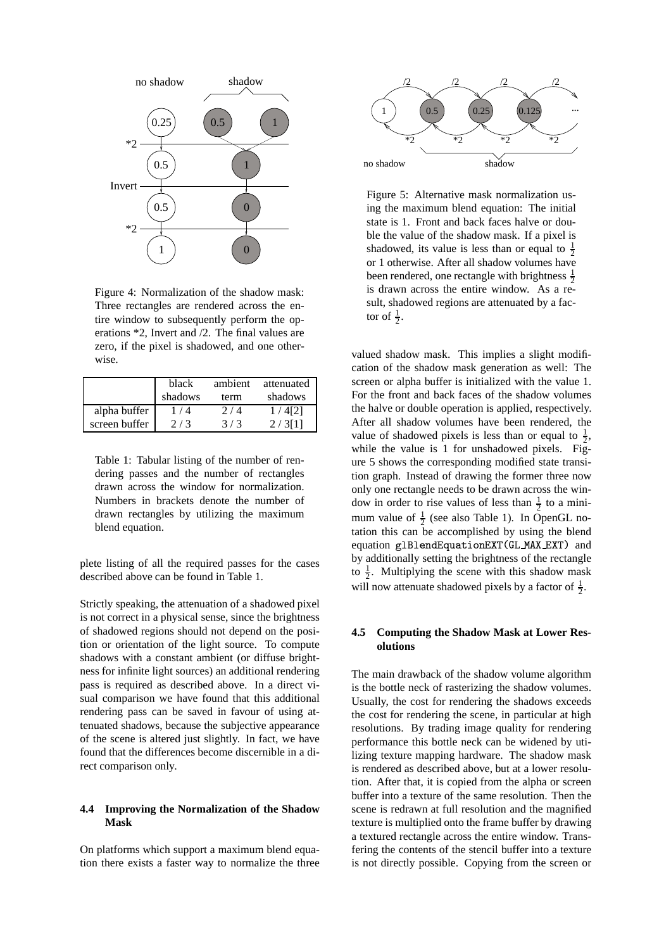

Figure 4: Normalization of the shadow mask: Three rectangles are rendered across the entire window to subsequently perform the operations \*2, Invert and /2. The final values are zero, if the pixel is shadowed, and one otherwise.

|               | black   | ambient | attenuated |
|---------------|---------|---------|------------|
|               | shadows | term    | shadows    |
| alpha buffer  | 1 / 4   | 2/4     | 1/4[2]     |
| screen buffer | 2/3     | 3/3     | 2/3[1]     |

Table 1: Tabular listing of the number of rendering passes and the number of rectangles drawn across the window for normalization. Numbers in brackets denote the number of drawn rectangles by utilizing the maximum blend equation.

plete listing of all the required passes for the cases described above can be found in Table 1.

Strictly speaking, the attenuation of a shadowed pixel is not correct in a physical sense, since the brightness of shadowed regions should not depend on the position or orientation of the light source. To compute shadows with a constant ambient (or diffuse brightness for infinite light sources) an additional rendering pass is required as described above. In a direct visual comparison we have found that this additional rendering pass can be saved in favour of using attenuated shadows, because the subjective appearance of the scene is altered just slightly. In fact, we have found that the differences become discernible in a direct comparison only.

# **4.4 Improving the Normalization of the Shadow Mask**

On platforms which support a maximum blend equation there exists a faster way to normalize the three



Figure 5: Alternative mask normalization using the maximum blend equation: The initial state is 1. Front and back faces halve or double the value of the shadow mask. If a pixel is shadowed, its value is less than or equal to  $\frac{1}{2}$ or 1 otherwise. After all shadow volumes have been rendered, one rectangle with brightness  $\frac{1}{2}$ is drawn across the entire window. As a result, shadowed regions are attenuated by a factor of  $\frac{1}{2}$ .

valued shadow mask. This implies a slight modification of the shadow mask generation as well: The screen or alpha buffer is initialized with the value 1. For the front and back faces of the shadow volumes the halve or double operation is applied, respectively. After all shadow volumes have been rendered, the value of shadowed pixels is less than or equal to  $\frac{1}{2}$ , while the value is 1 for unshadowed pixels. Figure 5 shows the corresponding modified state transition graph. Instead of drawing the former three now only one rectangle needs to be drawn across the window in order to rise values of less than  $\frac{1}{2}$  to a minimum value of  $\frac{1}{2}$  (see also Table 1). In OpenGL notation this can be accomplished by using the blend equation glBlendEquationEXT(GL\_MAX\_EXT) and by additionally setting the brightness of the rectangle to  $\frac{1}{2}$ . Multiplying the scene with this shadow mask will now attenuate shadowed pixels by a factor of  $\frac{1}{2}$ .

# **4.5 Computing the Shadow Mask at Lower Resolutions**

The main drawback of the shadow volume algorithm is the bottle neck of rasterizing the shadow volumes. Usually, the cost for rendering the shadows exceeds the cost for rendering the scene, in particular at high resolutions. By trading image quality for rendering performance this bottle neck can be widened by utilizing texture mapping hardware. The shadow mask is rendered as described above, but at a lower resolution. After that, it is copied from the alpha or screen buffer into a texture of the same resolution. Then the scene is redrawn at full resolution and the magnified texture is multiplied onto the frame buffer by drawing a textured rectangle across the entire window. Transfering the contents of the stencil buffer into a texture is not directly possible. Copying from the screen or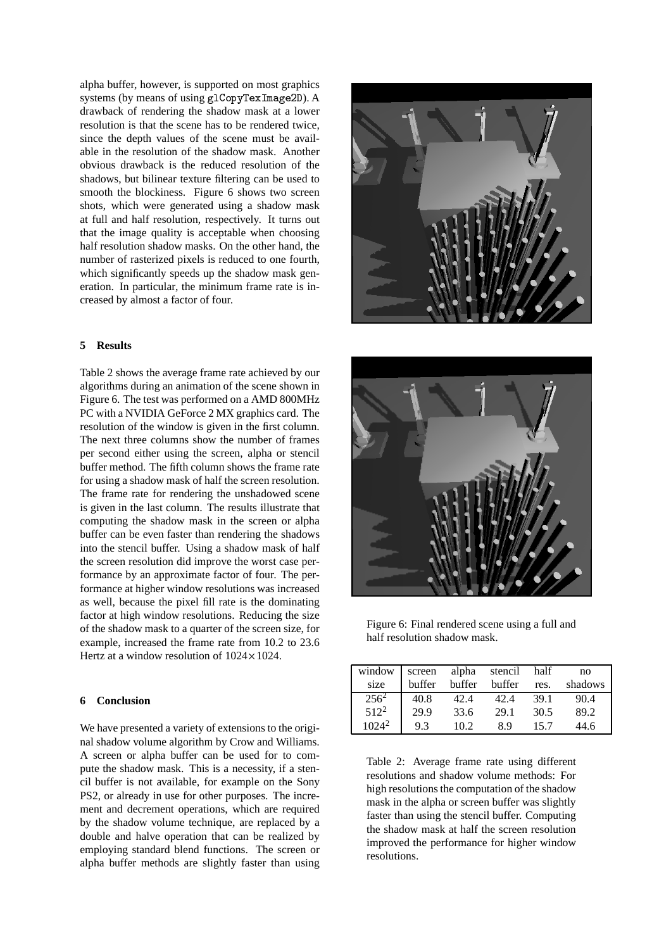alpha buffer, however, is supported on most graphics systems (by means of using  $g1$ CopyTexImage2D). A drawback of rendering the shadow mask at a lower resolution is that the scene has to be rendered twice, since the depth values of the scene must be available in the resolution of the shadow mask. Another obvious drawback is the reduced resolution of the shadows, but bilinear texture filtering can be used to smooth the blockiness. Figure 6 shows two screen shots, which were generated using a shadow mask at full and half resolution, respectively. It turns out that the image quality is acceptable when choosing half resolution shadow masks. On the other hand, the number of rasterized pixels is reduced to one fourth, which significantly speeds up the shadow mask generation. In particular, the minimum frame rate is increased by almost a factor of four.

#### **5 Results**

Table 2 shows the average frame rate achieved by our algorithms during an animation of the scene shown in Figure 6. The test was performed on a AMD 800MHz PC with a NVIDIA GeForce 2 MX graphics card. The resolution of the window is given in the first column. The next three columns show the number of frames per second either using the screen, alpha or stencil buffer method. The fifth column shows the frame rate for using a shadow mask of half the screen resolution. The frame rate for rendering the unshadowed scene is given in the last column. The results illustrate that computing the shadow mask in the screen or alpha buffer can be even faster than rendering the shadows into the stencil buffer. Using a shadow mask of half the screen resolution did improve the worst case performance by an approximate factor of four. The performance at higher window resolutions was increased as well, because the pixel fill rate is the dominating factor at high window resolutions. Reducing the size of the shadow mask to a quarter of the screen size, for example, increased the frame rate from 10.2 to 23.6 Hertz at a window resolution of  $1024 \times 1024$ .

# **6 Conclusion**

We have presented a variety of extensions to the original shadow volume algorithm by Crow and Williams. A screen or alpha buffer can be used for to compute the shadow mask. This is a necessity, if a stencil buffer is not available, for example on the Sony PS2, or already in use for other purposes. The increment and decrement operations, which are required by the shadow volume technique, are replaced by a double and halve operation that can be realized by employing standard blend functions. The screen or alpha buffer methods are slightly faster than using





Figure 6: Final rendered scene using a full and half resolution shadow mask.

| window   | screen | alpha  | stencil | half | no      |
|----------|--------|--------|---------|------|---------|
| size     | buffer | buffer | buffer  | res. | shadows |
| $256^2$  | 40.8   | 42.4   | 42.4    | 39.1 | 90.4    |
| $512^2$  | 29.9   | 33.6   | 29.1    | 30.5 | 89.2    |
| $1024^2$ | 9.3    | 102    | 89      | 15.7 | 44.6    |

Table 2: Average frame rate using different resolutions and shadow volume methods: For high resolutions the computation of the shadow mask in the alpha or screen buffer was slightly faster than using the stencil buffer. Computing the shadow mask at half the screen resolution improved the performance for higher window resolutions.